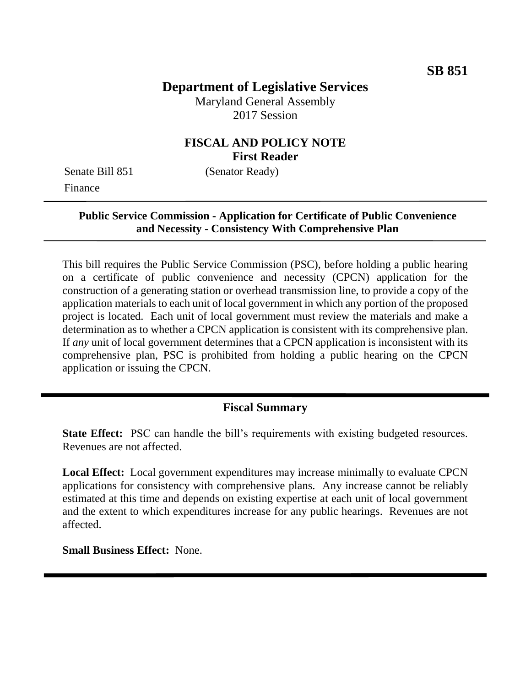# **Department of Legislative Services**

Maryland General Assembly 2017 Session

### **FISCAL AND POLICY NOTE First Reader**

Senate Bill 851 (Senator Ready) Finance

#### **Public Service Commission - Application for Certificate of Public Convenience and Necessity - Consistency With Comprehensive Plan**

This bill requires the Public Service Commission (PSC), before holding a public hearing on a certificate of public convenience and necessity (CPCN) application for the construction of a generating station or overhead transmission line, to provide a copy of the application materials to each unit of local government in which any portion of the proposed project is located. Each unit of local government must review the materials and make a determination as to whether a CPCN application is consistent with its comprehensive plan. If *any* unit of local government determines that a CPCN application is inconsistent with its comprehensive plan, PSC is prohibited from holding a public hearing on the CPCN application or issuing the CPCN.

### **Fiscal Summary**

**State Effect:** PSC can handle the bill's requirements with existing budgeted resources. Revenues are not affected.

**Local Effect:** Local government expenditures may increase minimally to evaluate CPCN applications for consistency with comprehensive plans. Any increase cannot be reliably estimated at this time and depends on existing expertise at each unit of local government and the extent to which expenditures increase for any public hearings. Revenues are not affected.

**Small Business Effect:** None.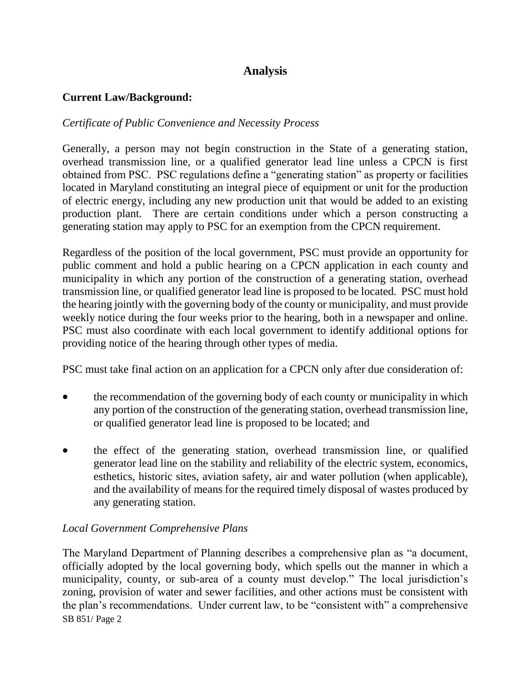## **Analysis**

### **Current Law/Background:**

### *Certificate of Public Convenience and Necessity Process*

Generally, a person may not begin construction in the State of a generating station, overhead transmission line, or a qualified generator lead line unless a CPCN is first obtained from PSC. PSC regulations define a "generating station" as property or facilities located in Maryland constituting an integral piece of equipment or unit for the production of electric energy, including any new production unit that would be added to an existing production plant. There are certain conditions under which a person constructing a generating station may apply to PSC for an exemption from the CPCN requirement.

Regardless of the position of the local government, PSC must provide an opportunity for public comment and hold a public hearing on a CPCN application in each county and municipality in which any portion of the construction of a generating station, overhead transmission line, or qualified generator lead line is proposed to be located. PSC must hold the hearing jointly with the governing body of the county or municipality, and must provide weekly notice during the four weeks prior to the hearing, both in a newspaper and online. PSC must also coordinate with each local government to identify additional options for providing notice of the hearing through other types of media.

PSC must take final action on an application for a CPCN only after due consideration of:

- the recommendation of the governing body of each county or municipality in which any portion of the construction of the generating station, overhead transmission line, or qualified generator lead line is proposed to be located; and
- the effect of the generating station, overhead transmission line, or qualified generator lead line on the stability and reliability of the electric system, economics, esthetics, historic sites, aviation safety, air and water pollution (when applicable), and the availability of means for the required timely disposal of wastes produced by any generating station.

### *Local Government Comprehensive Plans*

SB 851/ Page 2 The Maryland Department of Planning describes a comprehensive plan as "a document, officially adopted by the local governing body, which spells out the manner in which a municipality, county, or sub-area of a county must develop." The local jurisdiction's zoning, provision of water and sewer facilities, and other actions must be consistent with the plan's recommendations. Under current law, to be "consistent with" a comprehensive